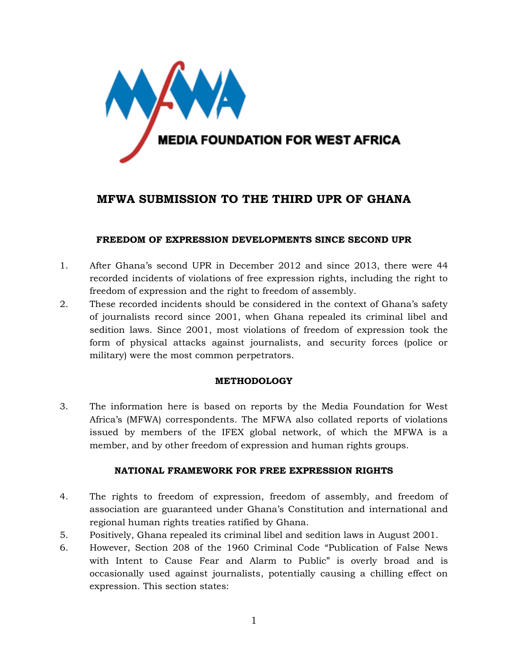

# **MFWA SUBMISSION TO THE THIRD UPR OF GHANA**

## **FREEDOM OF EXPRESSION DEVELOPMENTS SINCE SECOND UPR**

- 1. After Ghana's second UPR in December 2012 and since 2013, there were 44 recorded incidents of violations of free expression rights, including the right to freedom of expression and the right to freedom of assembly.
- 2. These recorded incidents should be considered in the context of Ghana's safety of journalists record since 2001, when Ghana repealed its criminal libel and sedition laws. Since 2001, most violations of freedom of expression took the form of physical attacks against journalists, and security forces (police or military) were the most common perpetrators.

## **METHODOLOGY**

3. The information here is based on reports by the Media Foundation for West Africa's (MFWA) correspondents. The MFWA also collated reports of violations issued by members of the IFEX global network, of which the MFWA is a member, and by other freedom of expression and human rights groups.

#### **NATIONAL FRAMEWORK FOR FREE EXPRESSION RIGHTS**

- 4. The rights to freedom of expression, freedom of assembly, and freedom of association are guaranteed under Ghana's Constitution and international and regional human rights treaties ratified by Ghana.
- 5. Positively, Ghana repealed its criminal libel and sedition laws in August 2001.
- 6. However, Section 208 of the 1960 Criminal Code "Publication of False News with Intent to Cause Fear and Alarm to Public" is overly broad and is occasionally used against journalists, potentially causing a chilling effect on expression. This section states: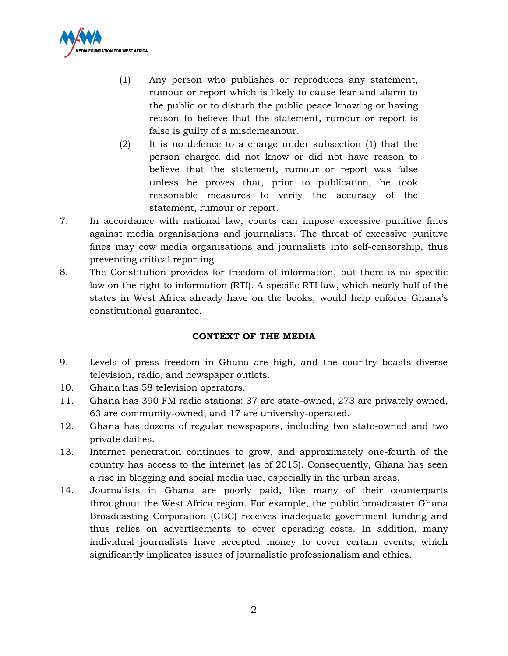

- (1) Any person who publishes or reproduces any statement, rumour or report which is likely to cause fear and alarm to the public or to disturb the public peace knowing or having reason to believe that the statement, rumour or report is false is guilty of a misdemeanour.
- (2) It is no defence to a charge under subsection (1) that the person charged did not know or did not have reason to believe that the statement, rumour or report was false unless he proves that, prior to publication, he took reasonable measures to verify the accuracy of the statement, rumour or report.
- 7. In accordance with national law, courts can impose excessive punitive fines against media organisations and journalists. The threat of excessive punitive fines may cow media organisations and journalists into self-censorship, thus preventing critical reporting.
- 8. The Constitution provides for freedom of information, but there is no specific law on the right to information (RTI). A specific RTI law, which nearly half of the states in West Africa already have on the books, would help enforce Ghana's constitutional guarantee.

## **CONTEXT OF THE MEDIA**

- 9. Levels of press freedom in Ghana are high, and the country boasts diverse television, radio, and newspaper outlets.
- 10. Ghana has 58 television operators.
- 11. Ghana has 390 FM radio stations: 37 are state-owned, 273 are privately owned, 63 are community-owned, and 17 are university-operated.
- 12. Ghana has dozens of regular newspapers, including two state-owned and two private dailies.
- 13. Internet penetration continues to grow, and approximately one-fourth of the country has access to the internet (as of 2015). Consequently, Ghana has seen a rise in blogging and social media use, especially in the urban areas.
- 14. Journalists in Ghana are poorly paid, like many of their counterparts throughout the West Africa region. For example, the public broadcaster Ghana Broadcasting Corporation (GBC) receives inadequate government funding and thus relies on advertisements to cover operating costs. In addition, many individual journalists have accepted money to cover certain events, which significantly implicates issues of journalistic professionalism and ethics.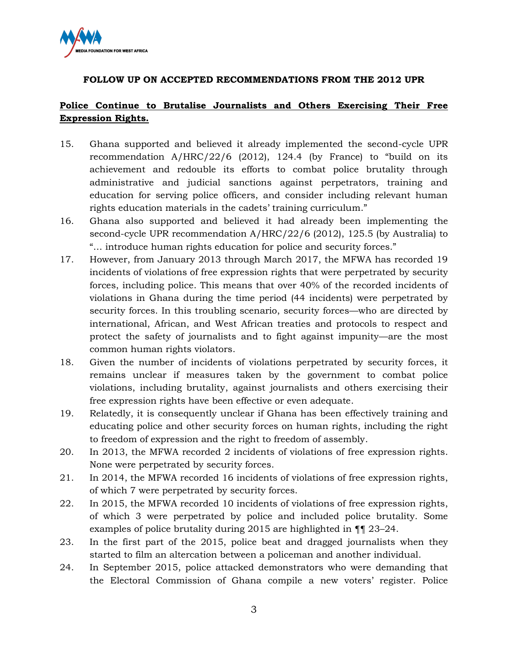

## **FOLLOW UP ON ACCEPTED RECOMMENDATIONS FROM THE 2012 UPR**

# **Police Continue to Brutalise Journalists and Others Exercising Their Free Expression Rights.**

- 15. Ghana supported and believed it already implemented the second-cycle UPR recommendation A/HRC/22/6 (2012), 124.4 (by France) to "build on its achievement and redouble its efforts to combat police brutality through administrative and judicial sanctions against perpetrators, training and education for serving police officers, and consider including relevant human rights education materials in the cadets' training curriculum."
- 16. Ghana also supported and believed it had already been implementing the second-cycle UPR recommendation A/HRC/22/6 (2012), 125.5 (by Australia) to "… introduce human rights education for police and security forces."
- 17. However, from January 2013 through March 2017, the MFWA has recorded 19 incidents of violations of free expression rights that were perpetrated by security forces, including police. This means that over 40% of the recorded incidents of violations in Ghana during the time period (44 incidents) were perpetrated by security forces. In this troubling scenario, security forces—who are directed by international, African, and West African treaties and protocols to respect and protect the safety of journalists and to fight against impunity—are the most common human rights violators.
- 18. Given the number of incidents of violations perpetrated by security forces, it remains unclear if measures taken by the government to combat police violations, including brutality, against journalists and others exercising their free expression rights have been effective or even adequate.
- 19. Relatedly, it is consequently unclear if Ghana has been effectively training and educating police and other security forces on human rights, including the right to freedom of expression and the right to freedom of assembly.
- 20. In 2013, the MFWA recorded 2 incidents of violations of free expression rights. None were perpetrated by security forces.
- 21. In 2014, the MFWA recorded 16 incidents of violations of free expression rights, of which 7 were perpetrated by security forces.
- 22. In 2015, the MFWA recorded 10 incidents of violations of free expression rights, of which 3 were perpetrated by police and included police brutality. Some examples of police brutality during 2015 are highlighted in ¶¶ 23–24.
- 23. In the first part of the 2015, police beat and dragged journalists when they started to film an altercation between a policeman and another individual.
- 24. In September 2015, police attacked demonstrators who were demanding that the Electoral Commission of Ghana compile a new voters' register. Police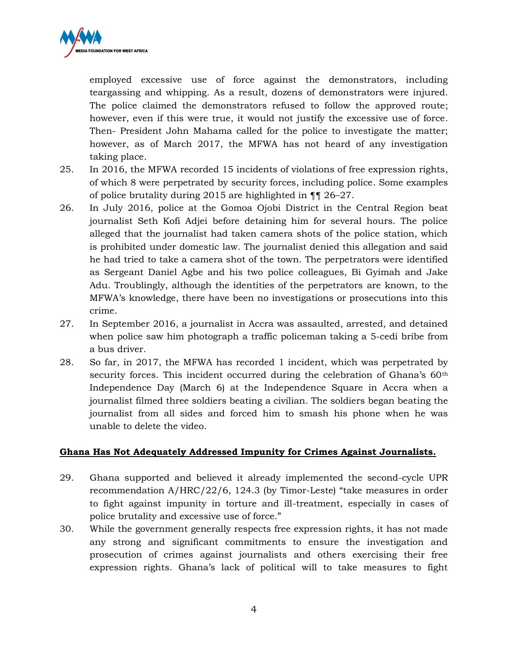

employed excessive use of force against the demonstrators, including teargassing and whipping. As a result, dozens of demonstrators were injured. The police claimed the demonstrators refused to follow the approved route; however, even if this were true, it would not justify the excessive use of force. Then- President John Mahama called for the police to investigate the matter; however, as of March 2017, the MFWA has not heard of any investigation taking place.

- 25. In 2016, the MFWA recorded 15 incidents of violations of free expression rights, of which 8 were perpetrated by security forces, including police. Some examples of police brutality during 2015 are highlighted in ¶¶ 26–27.
- 26. In July 2016, police at the Gomoa Ojobi District in the Central Region beat journalist Seth Kofi Adjei before detaining him for several hours. The police alleged that the journalist had taken camera shots of the police station, which is prohibited under domestic law. The journalist denied this allegation and said he had tried to take a camera shot of the town. The perpetrators were identified as Sergeant Daniel Agbe and his two police colleagues, Bi Gyimah and Jake Adu. Troublingly, although the identities of the perpetrators are known, to the MFWA's knowledge, there have been no investigations or prosecutions into this crime.
- 27. In September 2016, a journalist in Accra was assaulted, arrested, and detained when police saw him photograph a traffic policeman taking a 5-cedi bribe from a bus driver.
- 28. So far, in 2017, the MFWA has recorded 1 incident, which was perpetrated by security forces. This incident occurred during the celebration of Ghana's 60<sup>th</sup> Independence Day (March 6) at the Independence Square in Accra when a journalist filmed three soldiers beating a civilian. The soldiers began beating the journalist from all sides and forced him to smash his phone when he was unable to delete the video.

#### **Ghana Has Not Adequately Addressed Impunity for Crimes Against Journalists.**

- 29. Ghana supported and believed it already implemented the second-cycle UPR recommendation A/HRC/22/6, 124.3 (by Timor-Leste) "take measures in order to fight against impunity in torture and ill-treatment, especially in cases of police brutality and excessive use of force."
- 30. While the government generally respects free expression rights, it has not made any strong and significant commitments to ensure the investigation and prosecution of crimes against journalists and others exercising their free expression rights. Ghana's lack of political will to take measures to fight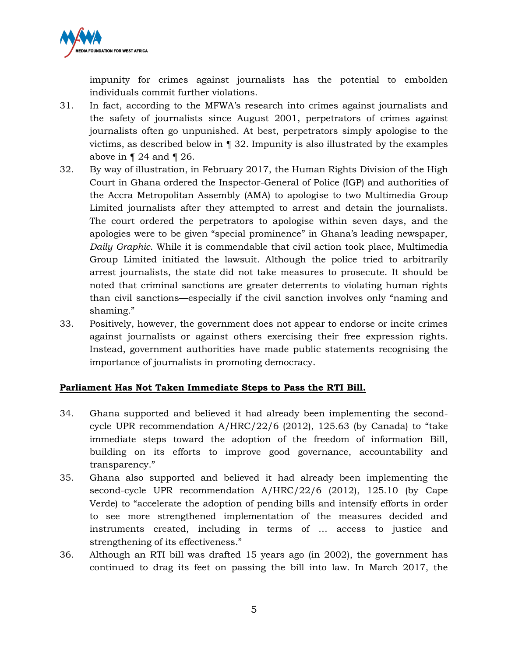

impunity for crimes against journalists has the potential to embolden individuals commit further violations.

- 31. In fact, according to the MFWA's research into crimes against journalists and the safety of journalists since August 2001, perpetrators of crimes against journalists often go unpunished. At best, perpetrators simply apologise to the victims, as described below in ¶ 32. Impunity is also illustrated by the examples above in  $\P$  24 and  $\P$  26.
- 32. By way of illustration, in February 2017, the Human Rights Division of the High Court in Ghana ordered the Inspector-General of Police (IGP) and authorities of the Accra Metropolitan Assembly (AMA) to apologise to two Multimedia Group Limited journalists after they attempted to arrest and detain the journalists. The court ordered the perpetrators to apologise within seven days, and the apologies were to be given "special prominence" in Ghana's leading newspaper, *Daily Graphic*. While it is commendable that civil action took place, Multimedia Group Limited initiated the lawsuit. Although the police tried to arbitrarily arrest journalists, the state did not take measures to prosecute. It should be noted that criminal sanctions are greater deterrents to violating human rights than civil sanctions—especially if the civil sanction involves only "naming and shaming."
- 33. Positively, however, the government does not appear to endorse or incite crimes against journalists or against others exercising their free expression rights. Instead, government authorities have made public statements recognising the importance of journalists in promoting democracy.

#### **Parliament Has Not Taken Immediate Steps to Pass the RTI Bill.**

- 34. Ghana supported and believed it had already been implementing the secondcycle UPR recommendation A/HRC/22/6 (2012), 125.63 (by Canada) to "take immediate steps toward the adoption of the freedom of information Bill, building on its efforts to improve good governance, accountability and transparency."
- 35. Ghana also supported and believed it had already been implementing the second-cycle UPR recommendation A/HRC/22/6 (2012), 125.10 (by Cape Verde) to "accelerate the adoption of pending bills and intensify efforts in order to see more strengthened implementation of the measures decided and instruments created, including in terms of … access to justice and strengthening of its effectiveness."
- 36. Although an RTI bill was drafted 15 years ago (in 2002), the government has continued to drag its feet on passing the bill into law. In March 2017, the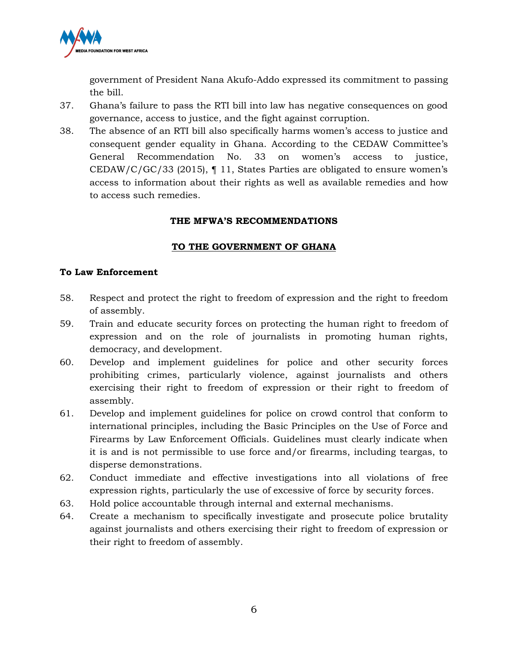

government of President Nana Akufo-Addo expressed its commitment to passing the bill.

- 37. Ghana's failure to pass the RTI bill into law has negative consequences on good governance, access to justice, and the fight against corruption.
- 38. The absence of an RTI bill also specifically harms women's access to justice and consequent gender equality in Ghana. According to the CEDAW Committee's General Recommendation No. 33 on women's access to justice, CEDAW/C/GC/33 (2015),  $\P$  11, States Parties are obligated to ensure women's access to information about their rights as well as available remedies and how to access such remedies.

#### **THE MFWA'S RECOMMENDATIONS**

## **TO THE GOVERNMENT OF GHANA**

#### **To Law Enforcement**

- 58. Respect and protect the right to freedom of expression and the right to freedom of assembly.
- 59. Train and educate security forces on protecting the human right to freedom of expression and on the role of journalists in promoting human rights, democracy, and development.
- 60. Develop and implement guidelines for police and other security forces prohibiting crimes, particularly violence, against journalists and others exercising their right to freedom of expression or their right to freedom of assembly.
- 61. Develop and implement guidelines for police on crowd control that conform to international principles, including the Basic Principles on the Use of Force and Firearms by Law Enforcement Officials. Guidelines must clearly indicate when it is and is not permissible to use force and/or firearms, including teargas, to disperse demonstrations.
- 62. Conduct immediate and effective investigations into all violations of free expression rights, particularly the use of excessive of force by security forces.
- 63. Hold police accountable through internal and external mechanisms.
- 64. Create a mechanism to specifically investigate and prosecute police brutality against journalists and others exercising their right to freedom of expression or their right to freedom of assembly.